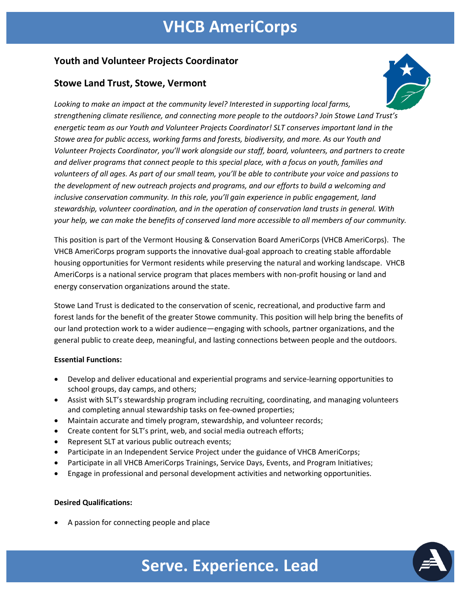## **VHCB AmeriCorps**

### **Youth and Volunteer Projects Coordinator**

### **Stowe Land Trust, Stowe, Vermont**



*Looking to make an impact at the community level? Interested in supporting local farms, strengthening climate resilience, and connecting more people to the outdoors? Join Stowe Land Trust's energetic team as our Youth and Volunteer Projects Coordinator! SLT conserves important land in the Stowe area for public access, working farms and forests, biodiversity, and more. As our Youth and Volunteer Projects Coordinator, you'll work alongside our staff, board, volunteers, and partners to create and deliver programs that connect people to this special place, with a focus on youth, families and volunteers of all ages. As part of our small team, you'll be able to contribute your voice and passions to the development of new outreach projects and programs, and our efforts to build a welcoming and inclusive conservation community. In this role, you'll gain experience in public engagement, land stewardship, volunteer coordination, and in the operation of conservation land trusts in general. With your help, we can make the benefits of conserved land more accessible to all members of our community.* 

This position is part of the Vermont Housing & Conservation Board AmeriCorps (VHCB AmeriCorps). The VHCB AmeriCorps program supports the innovative dual-goal approach to creating stable affordable housing opportunities for Vermont residents while preserving the natural and working landscape. VHCB AmeriCorps is a national service program that places members with non-profit housing or land and energy conservation organizations around the state.

Stowe Land Trust is dedicated to the conservation of scenic, recreational, and productive farm and forest lands for the benefit of the greater Stowe community. This position will help bring the benefits of our land protection work to a wider audience—engaging with schools, partner organizations, and the general public to create deep, meaningful, and lasting connections between people and the outdoors.

### **Essential Functions:**

- Develop and deliver educational and experiential programs and service-learning opportunities to school groups, day camps, and others;
- Assist with SLT's stewardship program including recruiting, coordinating, and managing volunteers and completing annual stewardship tasks on fee-owned properties;
- Maintain accurate and timely program, stewardship, and volunteer records;
- Create content for SLT's print, web, and social media outreach efforts;
- Represent SLT at various public outreach events;
- Participate in an Independent Service Project under the guidance of VHCB AmeriCorps;
- Participate in all VHCB AmeriCorps Trainings, Service Days, Events, and Program Initiatives;
- Engage in professional and personal development activities and networking opportunities.

### **Desired Qualifications:**

• A passion for connecting people and place



# **Serve. Experience. Lead**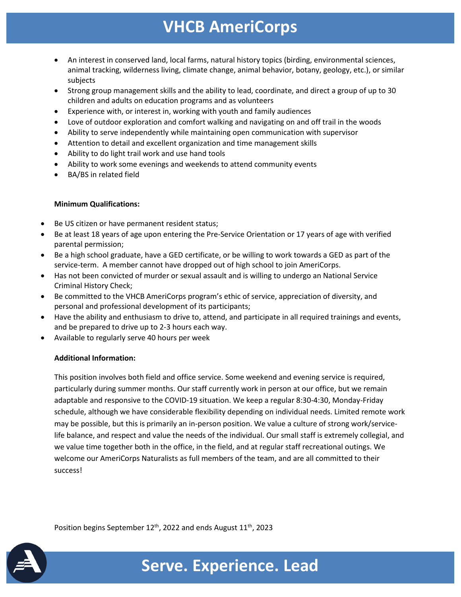## **VHCB AmeriCorps**

- An interest in conserved land, local farms, natural history topics (birding, environmental sciences, animal tracking, wilderness living, climate change, animal behavior, botany, geology, etc.), or similar subjects
- Strong group management skills and the ability to lead, coordinate, and direct a group of up to 30 children and adults on education programs and as volunteers
- Experience with, or interest in, working with youth and family audiences
- Love of outdoor exploration and comfort walking and navigating on and off trail in the woods
- Ability to serve independently while maintaining open communication with supervisor
- Attention to detail and excellent organization and time management skills
- Ability to do light trail work and use hand tools
- Ability to work some evenings and weekends to attend community events
- BA/BS in related field

#### **Minimum Qualifications:**

- Be US citizen or have permanent resident status;
- Be at least 18 years of age upon entering the Pre-Service Orientation or 17 years of age with verified parental permission;
- Be a high school graduate, have a GED certificate, or be willing to work towards a GED as part of the service-term. A member cannot have dropped out of high school to join AmeriCorps.
- Has not been convicted of murder or sexual assault and is willing to undergo an National Service Criminal History Check;
- Be committed to the VHCB AmeriCorps program's ethic of service, appreciation of diversity, and personal and professional development of its participants;
- Have the ability and enthusiasm to drive to, attend, and participate in all required trainings and events, and be prepared to drive up to 2-3 hours each way.
- Available to regularly serve 40 hours per week

### **Additional Information:**

This position involves both field and office service. Some weekend and evening service is required, particularly during summer months. Our staff currently work in person at our office, but we remain adaptable and responsive to the COVID-19 situation. We keep a regular 8:30-4:30, Monday-Friday schedule, although we have considerable flexibility depending on individual needs. Limited remote work may be possible, but this is primarily an in-person position. We value a culture of strong work/servicelife balance, and respect and value the needs of the individual. Our small staff is extremely collegial, and we value time together both in the office, in the field, and at regular staff recreational outings. We welcome our AmeriCorps Naturalists as full members of the team, and are all committed to their success!

Position begins September  $12^{th}$ , 2022 and ends August  $11^{th}$ , 2023



# **Serve. Experience. Lead**